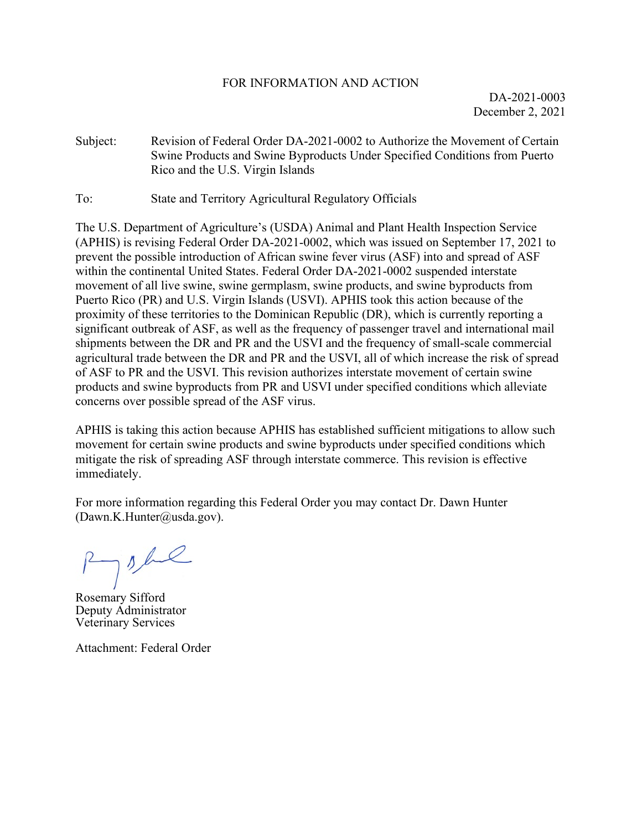## FOR INFORMATION AND ACTION

DA-2021-0003 December 2, 2021

- Subject: Revision of Federal Order DA-2021-0002 to Authorize the Movement of Certain Swine Products and Swine Byproducts Under Specified Conditions from Puerto Rico and the U.S. Virgin Islands
- To: State and Territory Agricultural Regulatory Officials

The U.S. Department of Agriculture's (USDA) Animal and Plant Health Inspection Service (APHIS) is revising Federal Order DA-2021-0002, which was issued on September 17, 2021 to prevent the possible introduction of African swine fever virus (ASF) into and spread of ASF within the continental United States. Federal Order DA-2021-0002 suspended interstate movement of all live swine, swine germplasm, swine products, and swine byproducts from Puerto Rico (PR) and U.S. Virgin Islands (USVI). APHIS took this action because of the proximity of these territories to the Dominican Republic (DR), which is currently reporting a significant outbreak of ASF, as well as the frequency of passenger travel and international mail shipments between the DR and PR and the USVI and the frequency of small-scale commercial agricultural trade between the DR and PR and the USVI, all of which increase the risk of spread of ASF to PR and the USVI. This revision authorizes interstate movement of certain swine products and swine byproducts from PR and USVI under specified conditions which alleviate concerns over possible spread of the ASF virus.

APHIS is taking this action because APHIS has established sufficient mitigations to allow such movement for certain swine products and swine byproducts under specified conditions which mitigate the risk of spreading ASF through interstate commerce. This revision is effective immediately.

For more information regarding this Federal Order you may contact Dr. Dawn Hunter (Dawn.K.Hunter@usda.gov).

Ryshe

Rosemary Sifford Deputy Administrator Veterinary Services

Attachment: Federal Order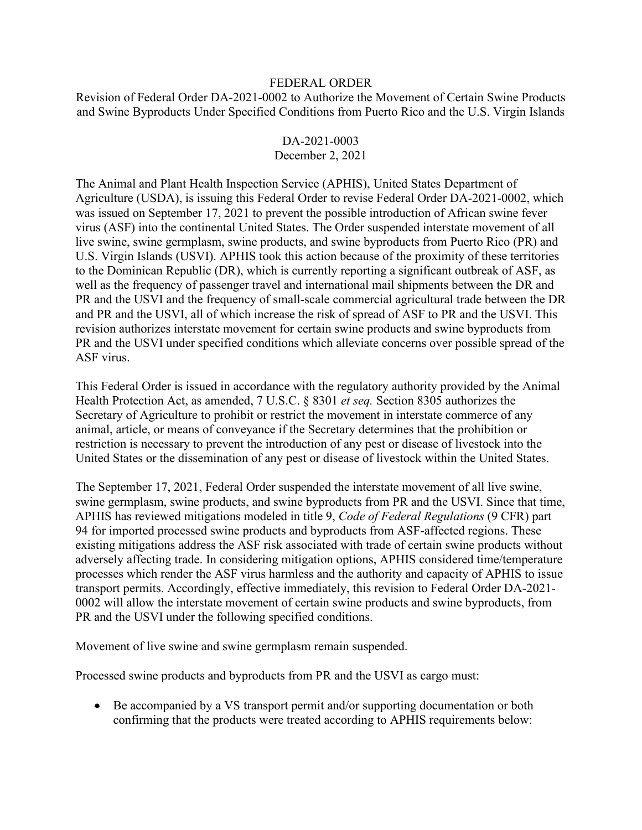## FEDERAL ORDER

Revision of Federal Order DA-2021-0002 to Authorize the Movement of Certain Swine Products and Swine Byproducts Under Specified Conditions from Puerto Rico and the U.S. Virgin Islands

## DA-2021-0003 December 2, 2021

The Animal and Plant Health Inspection Service (APHIS), United States Department of Agriculture (USDA), is issuing this Federal Order to revise Federal Order DA-2021-0002, which was issued on September 17, 2021 to prevent the possible introduction of African swine fever virus (ASF) into the continental United States. The Order suspended interstate movement of all live swine, swine germplasm, swine products, and swine byproducts from Puerto Rico (PR) and U.S. Virgin Islands (USVI). APHIS took this action because of the proximity of these territories to the Dominican Republic (DR), which is currently reporting a significant outbreak of ASF, as well as the frequency of passenger travel and international mail shipments between the DR and PR and the USVI and the frequency of small-scale commercial agricultural trade between the DR and PR and the USVI, all of which increase the risk of spread of ASF to PR and the USVI. This revision authorizes interstate movement for certain swine products and swine byproducts from PR and the USVI under specified conditions which alleviate concerns over possible spread of the ASF virus.

This Federal Order is issued in accordance with the regulatory authority provided by the Animal Health Protection Act, as amended, 7 U.S.C. § 8301 *et seq.* Section 8305 authorizes the Secretary of Agriculture to prohibit or restrict the movement in interstate commerce of any animal, article, or means of conveyance if the Secretary determines that the prohibition or restriction is necessary to prevent the introduction of any pest or disease of livestock into the United States or the dissemination of any pest or disease of livestock within the United States.

The September 17, 2021, Federal Order suspended the interstate movement of all live swine, swine germplasm, swine products, and swine byproducts from PR and the USVI. Since that time, APHIS has reviewed mitigations modeled in title 9, *Code of Federal Regulations* (9 CFR) part 94 for imported processed swine products and byproducts from ASF-affected regions. These existing mitigations address the ASF risk associated with trade of certain swine products without adversely affecting trade. In considering mitigation options, APHIS considered time/temperature processes which render the ASF virus harmless and the authority and capacity of APHIS to issue transport permits. Accordingly, effective immediately, this revision to Federal Order DA-2021- 0002 will allow the interstate movement of certain swine products and swine byproducts, from PR and the USVI under the following specified conditions.

Movement of live swine and swine germplasm remain suspended.

Processed swine products and byproducts from PR and the USVI as cargo must:

• Be accompanied by a VS transport permit and/or supporting documentation or both confirming that the products were treated according to APHIS requirements below: